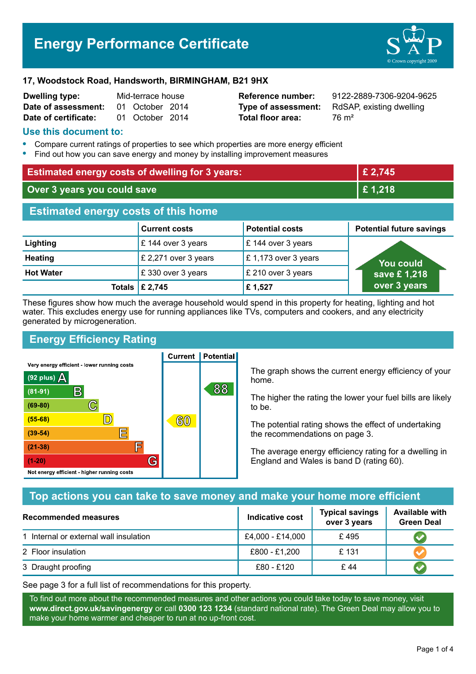# **Energy Performance Certificate**



#### **17, Woodstock Road, Handsworth, BIRMINGHAM, B21 9HX**

| <b>Dwelling type:</b> | Mid-terrace house |                 |  |
|-----------------------|-------------------|-----------------|--|
| Date of assessment:   |                   | 01 October 2014 |  |
| Date of certificate:  |                   | 01 October 2014 |  |

**Total floor area:** 76 m<sup>2</sup>

**Reference number:** 9122-2889-7306-9204-9625 **Type of assessment:** RdSAP, existing dwelling

#### **Use this document to:**

- **•** Compare current ratings of properties to see which properties are more energy efficient
- **•** Find out how you can save energy and money by installing improvement measures

| <b>Estimated energy costs of dwelling for 3 years:</b> |                                 |                        | £ 2,745                         |  |
|--------------------------------------------------------|---------------------------------|------------------------|---------------------------------|--|
| Over 3 years you could save                            |                                 | £1,218                 |                                 |  |
| <b>Estimated energy costs of this home</b>             |                                 |                        |                                 |  |
|                                                        | <b>Current costs</b>            | <b>Potential costs</b> | <b>Potential future savings</b> |  |
| Lighting                                               | £ 144 over 3 years              | £ 144 over 3 years     |                                 |  |
| <b>Heating</b>                                         | £ 2,271 over 3 years            | £1,173 over 3 years    | <b>You could</b>                |  |
| <b>Hot Water</b>                                       | £330 over 3 years               | £ 210 over 3 years     | save £1,218                     |  |
|                                                        | Totals $\mathbf \epsilon$ 2,745 | £1,527                 | over 3 years                    |  |

These figures show how much the average household would spend in this property for heating, lighting and hot water. This excludes energy use for running appliances like TVs, computers and cookers, and any electricity generated by microgeneration.

**Current | Potential** 

# **Energy Efficiency Rating**

Very energy efficient - lower running costs



The graph shows the current energy efficiency of your home.

The higher the rating the lower your fuel bills are likely to be.

The potential rating shows the effect of undertaking the recommendations on page 3.

The average energy efficiency rating for a dwelling in England and Wales is band D (rating 60).

### **Top actions you can take to save money and make your home more efficient**

| Recommended measures                   | Indicative cost  | <b>Typical savings</b><br>over 3 years | <b>Available with</b><br><b>Green Deal</b> |
|----------------------------------------|------------------|----------------------------------------|--------------------------------------------|
| 1 Internal or external wall insulation | £4,000 - £14,000 | £495                                   |                                            |
| 2 Floor insulation                     | £800 - £1,200    | £131                                   |                                            |
| 3 Draught proofing                     | £80 - £120       | £44                                    |                                            |

See page 3 for a full list of recommendations for this property.

To find out more about the recommended measures and other actions you could take today to save money, visit **www.direct.gov.uk/savingenergy** or call **0300 123 1234** (standard national rate). The Green Deal may allow you to make your home warmer and cheaper to run at no up-front cost.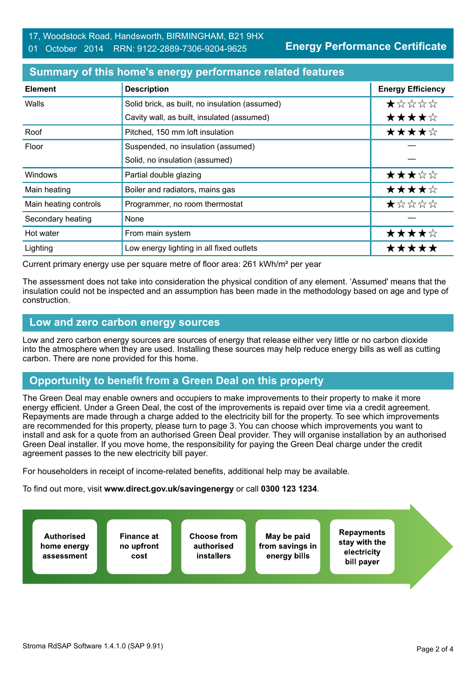**Energy Performance Certificate**

# **Summary of this home's energy performance related features**

| <b>Element</b>        | <b>Description</b>                             | <b>Energy Efficiency</b> |
|-----------------------|------------------------------------------------|--------------------------|
| Walls                 | Solid brick, as built, no insulation (assumed) | *****                    |
|                       | Cavity wall, as built, insulated (assumed)     | ★★★★☆                    |
| Roof                  | Pitched, 150 mm loft insulation                | ★★★★☆                    |
| Floor                 | Suspended, no insulation (assumed)             |                          |
|                       | Solid, no insulation (assumed)                 |                          |
| <b>Windows</b>        | Partial double glazing                         | ★★★☆☆                    |
| Main heating          | Boiler and radiators, mains gas                | ★★★★☆                    |
| Main heating controls | Programmer, no room thermostat                 | ★☆☆☆☆                    |
| Secondary heating     | None                                           |                          |
| Hot water             | From main system                               | ★★★★☆                    |
| Lighting              | Low energy lighting in all fixed outlets       | *****                    |

Current primary energy use per square metre of floor area: 261 kWh/m² per year

The assessment does not take into consideration the physical condition of any element. 'Assumed' means that the insulation could not be inspected and an assumption has been made in the methodology based on age and type of construction.

#### **Low and zero carbon energy sources**

Low and zero carbon energy sources are sources of energy that release either very little or no carbon dioxide into the atmosphere when they are used. Installing these sources may help reduce energy bills as well as cutting carbon. There are none provided for this home.

# **Opportunity to benefit from a Green Deal on this property**

The Green Deal may enable owners and occupiers to make improvements to their property to make it more energy efficient. Under a Green Deal, the cost of the improvements is repaid over time via a credit agreement. Repayments are made through a charge added to the electricity bill for the property. To see which improvements are recommended for this property, please turn to page 3. You can choose which improvements you want to install and ask for a quote from an authorised Green Deal provider. They will organise installation by an authorised Green Deal installer. If you move home, the responsibility for paying the Green Deal charge under the credit agreement passes to the new electricity bill payer.

For householders in receipt of income-related benefits, additional help may be available.

To find out more, visit **www.direct.gov.uk/savingenergy** or call **0300 123 1234**.

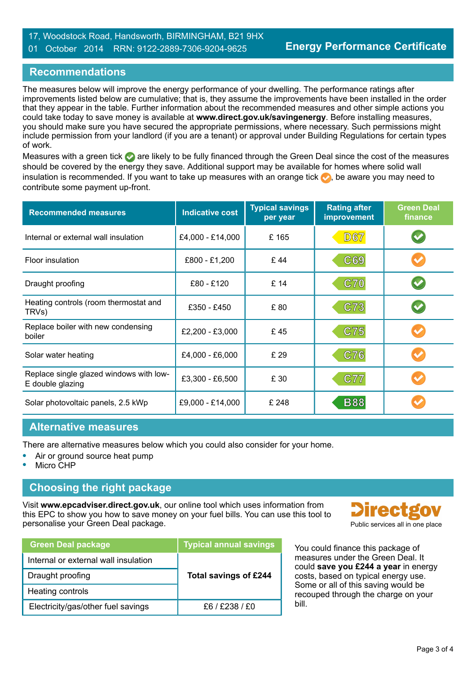#### 17, Woodstock Road, Handsworth, BIRMINGHAM, B21 9HX 01 October 2014 RRN: 9122-2889-7306-9204-9625

# **Recommendations**

The measures below will improve the energy performance of your dwelling. The performance ratings after improvements listed below are cumulative; that is, they assume the improvements have been installed in the order that they appear in the table. Further information about the recommended measures and other simple actions you could take today to save money is available at **www.direct.gov.uk/savingenergy**. Before installing measures, you should make sure you have secured the appropriate permissions, where necessary. Such permissions might include permission from your landlord (if you are a tenant) or approval under Building Regulations for certain types of work.

Measures with a green tick are likely to be fully financed through the Green Deal since the cost of the measures should be covered by the energy they save. Additional support may be available for homes where solid wall insulation is recommended. If you want to take up measures with an orange tick  $\bullet$ , be aware you may need to contribute some payment up-front.

| <b>Recommended measures</b>                                 | <b>Indicative cost</b> | <b>Typical savings</b><br>per year | <b>Rating after</b><br>improvement | <b>Green Deal</b><br>finance |
|-------------------------------------------------------------|------------------------|------------------------------------|------------------------------------|------------------------------|
| Internal or external wall insulation                        | £4,000 - £14,000       | £165                               | <b>D67</b>                         |                              |
| Floor insulation                                            | £800 - £1,200          | £44                                | C69                                |                              |
| Draught proofing                                            | £80 - £120             | £ 14                               | <b>C70</b>                         |                              |
| Heating controls (room thermostat and<br>TRVs)              | £350 - £450            | £80                                | C73                                |                              |
| Replace boiler with new condensing<br>boiler                | £2,200 - £3,000        | £45                                | C75                                |                              |
| Solar water heating                                         | £4,000 - £6,000        | £ 29                               | C76                                |                              |
| Replace single glazed windows with low-<br>E double glazing | £3,300 - £6,500        | £ 30                               | C77                                |                              |
| Solar photovoltaic panels, 2.5 kWp                          | £9,000 - £14,000       | £ 248                              | <b>B88</b>                         |                              |

#### **Alternative measures**

There are alternative measures below which you could also consider for your home.

- **•** Air or ground source heat pump
- **•** Micro CHP

# **Choosing the right package**

Visit **www.epcadviser.direct.gov.uk**, our online tool which uses information from this EPC to show you how to save money on your fuel bills. You can use this tool to personalise your Green Deal package. Public services all in one place

| <b>Green Deal package</b>            | <b>Typical annual savings</b> |
|--------------------------------------|-------------------------------|
| Internal or external wall insulation |                               |
| Draught proofing                     | <b>Total savings of £244</b>  |
| Heating controls                     |                               |
| Electricity/gas/other fuel savings   | f6 / f238 / f0                |



You could finance this package of measures under the Green Deal. It could **save you £244 a year** in energy costs, based on typical energy use. Some or all of this saving would be recouped through the charge on your bill.